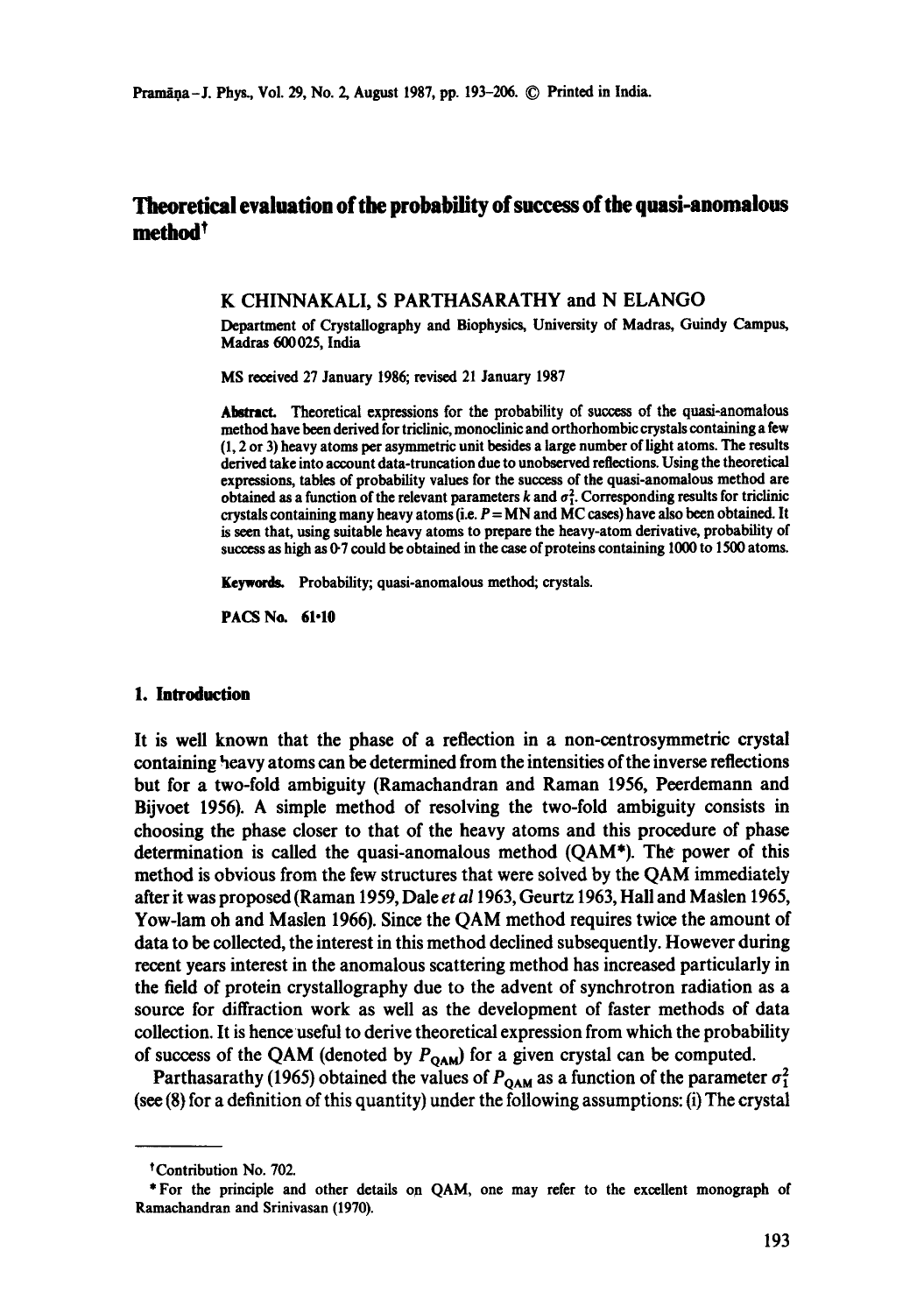# Theoretical **evaluation of** the probability **of success of the quasi-anomalous**   $\mathbf{m}$ ethod $^\dagger$

### K CHINNAKALI, S PARTHASARATHY and N ELANGO

Department of Crystallography and Biophysics, University of Madras, Guindy Campus, Madras 600025, India

MS received 27 January 1986; revised 21 January 1987

Abstract. Theoretical expressions for the probability of success of the quasi-anomalous method have been derived for triclinic, monoclinic and orthorhombic crystals containing a **few**  (1, 2 or 3) heavy atoms per asymmetric unit besides a large number of light atoms. The results derived take into account data-truncation due to unobserved reflections. Using the theoretical expressions, tables of probability values for the success of the quasi-anomalous method are obtained as a function of the relevant parameters k and  $\sigma_1^2$ . Corresponding results for triclinic crystals containing many heavy atoms (i.e.  $P = MN$  and  $MC$  cases) have also been obtained. It is seen that, using suitable heavy atoms to prepare the heavy-atom derivative, probability of success as high as 0-7 could be obtained in the case of proteins containing 1000 to 1500 atoms.

Keywords. Probability; quasi-anomalous method; crystals.

PACS No. 61-10

# **1. latroductioa**

It is well known that the phase of a reflection in a non-centrosymmetric crystal containing heavy atoms can be determined from the intensities of the inverse reflections but for a two-fold ambiguity (Ramachandran and Raman 1956, Peerdemann and Bijvoet 1956). A simple method of resolving the two-fold ambiguity consists in choosing the phase closer to that of the heavy atoms and this procedure of phase determination is called the quasi-anomalous method (QAM\*). The power of this method is obvious from the few structures that were solved by the QAM immediately after it was proposed (Raman 1959, Dale *et a11963,* Geurtz 1963, Hall and Maslen 1965, Yow-lam oh and Maslen 1966). Since the QAM method requires twice the amount of data to be collected, the interest in this method declined subsequently. However during recent years interest in the anomalous scattering method has increased particularly in the field of protein crystallography due to the advent of synchrotron radiation as a source for diffraction work as well as the development of faster methods of data collection. It is hence useful to derive theoretical expression from which the probability of success of the QAM (denoted by  $P_{OAM}$ ) for a given crystal can be computed.

Parthasarathy (1965) obtained the values of  $P_{\text{OAM}}$  as a function of the parameter  $\sigma_1^2$ (see (8) for a definition of this quantity) under the following assumptions: (i) The crystal

<sup>\*</sup>Contribution No. 702.

<sup>\*</sup> For the principle and other details on QAM, one may refer to the excellent monograph of Ramachandran and Srinivasan (1970).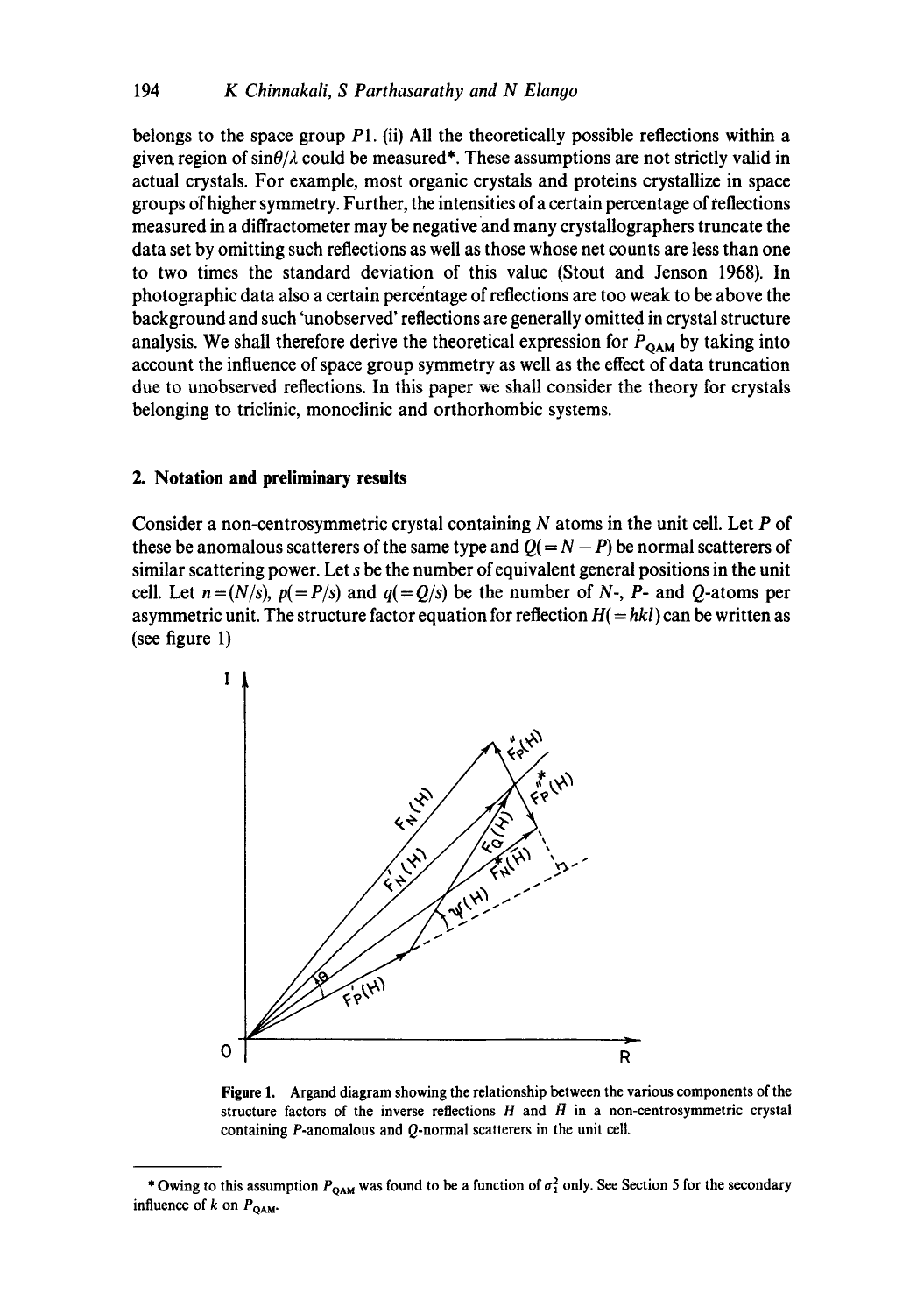belongs to the space group P1. (ii) All the theoretically possible reflections within a given region of  $\sin\theta/\lambda$  could be measured\*. These assumptions are not strictly valid in actual crystals. For example, most organic crystals and proteins crystallize in space groups Of higher symmetry. Further, the intensities of a certain percentage of reflections measured in a diffractometer may be negative and many crystallographers truncate the data set by omitting such reflections as well as those whose net counts are less than one to two times the standard deviation of this value (Stout and Jenson 1968). In photographic data also a certain percentage of reflections are too weak to be above the background and such 'unobserved' reflections are generally omitted in crystal structure analysis. We shall therefore derive the theoretical expression for  $P_{\text{OAM}}$  by taking into account the influence of space group symmetry as well as the effect of data truncation due to unobserved reflections. In this paper we shall consider the theory for crystals belonging to triclinic, monoclinic and orthorhombic systems.

### **2. Notation and preliminary results**

Consider a non-centrosymmetric crystal containing  $N$  atoms in the unit cell. Let  $P$  of these be anomalous scatterers of the same type and  $Q(= N - P)$  be normal scatterers of similar scattering power. Let s be the number of equivalent general positions in the unit cell. Let  $n = (N/s)$ ,  $p(= P/s)$  and  $q(= Q/s)$  be the number of N-, P- and Q-atoms per asymmetric unit. The structure factor equation for reflection  $H(= h k l)$  can be written as (see figure 1)



**Figure** 1. Argand diagram showing the relationship between the various components of **the**  structure factors of the inverse reflections  $H$  and  $\bar{H}$  in a non-centrosymmetric crystal containing P-anomalous and Q-normal scatterers in the unit cell.

<sup>\*</sup> Owing to this assumption  $P_{\text{QAM}}$  was found to be a function of  $\sigma_1^2$  only. See Section 5 for the secondary influence of k on  $P_{QAM}$ .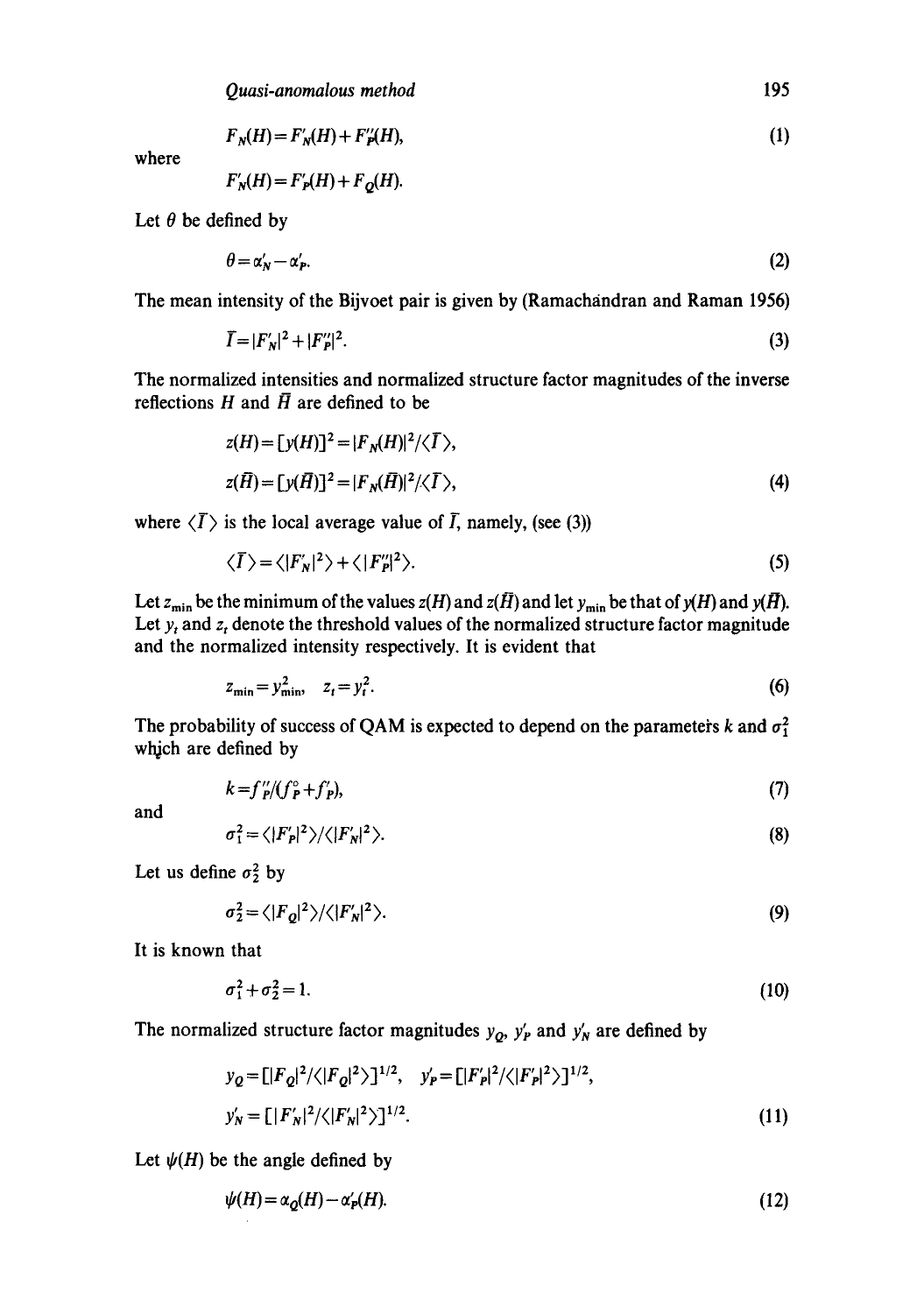$$
F_N(H) = F'_N(H) + F''_P(H),\tag{1}
$$

where

$$
F'_{N}(H) = F'_{P}(H) + F_{Q}(H).
$$

Let  $\theta$  be defined by

$$
\theta = \alpha'_N - \alpha'_P. \tag{2}
$$

The mean intensity of the Bijvoet pair is given by (Ramachandran and Raman 1956)

$$
\vec{I} = |F'_N|^2 + |F''_P|^2. \tag{3}
$$

The normalized intensities and normalized structure factor magnitudes of the inverse reflections H and  $\bar{H}$  are defined to be

$$
z(H) = [y(H)]^2 = |F_N(H)|^2 / \langle \overline{I} \rangle,
$$
  
\n
$$
z(\overline{H}) = [y(\overline{H})]^2 = |F_N(\overline{H})|^2 / \langle \overline{I} \rangle,
$$
\n(4)

where  $\langle \overline{I} \rangle$  is the local average value of  $\overline{I}$ , namely, (see (3))

$$
\langle \overline{I} \rangle = \langle |F'_N|^2 \rangle + \langle |F''_P|^2 \rangle. \tag{5}
$$

Let  $z_{\min}$  be the minimum of the values  $z(H)$  and  $z(\bar{H})$  and let  $y_{\min}$  be that of  $y(H)$  and  $y(\bar{H})$ . Let  $y_t$  and  $z_t$  denote the threshold values of the normalized structure factor magnitude and the normalized intensity respectively. It is evident that

$$
z_{\min} = y_{\min}^2, \quad z_t = y_t^2. \tag{6}
$$

The probability of success of QAM is expected to depend on the parameters k and  $\sigma_1^2$ which are defined by

$$
k = f_p''/(f_p^{\circ} + f_p'),\tag{7}
$$

and

$$
\sigma_1^2 = \langle |F'_p|^2 \rangle / \langle |F'_N|^2 \rangle. \tag{8}
$$

Let us define  $\sigma_2^2$  by

$$
\sigma_2^2 = \langle |F_Q|^2 \rangle / \langle |F'_N|^2 \rangle. \tag{9}
$$

It is known that

$$
\sigma_1^2 + \sigma_2^2 = 1. \tag{10}
$$

The normalized structure factor magnitudes  $y_Q$ ,  $y'_P$  and  $y'_N$  are defined by

$$
y_Q = [|F_Q|^2 / \langle |F_Q|^2 \rangle]^{1/2}, \quad y'_P = [|F'_P|^2 / \langle |F'_P|^2 \rangle]^{1/2},
$$
  

$$
y'_N = [|F'_N|^2 / \langle |F'_N|^2 \rangle]^{1/2}.
$$
 (11)

Let  $\psi(H)$  be the angle defined by

$$
\psi(H) = \alpha_Q(H) - \alpha_P'(H). \tag{12}
$$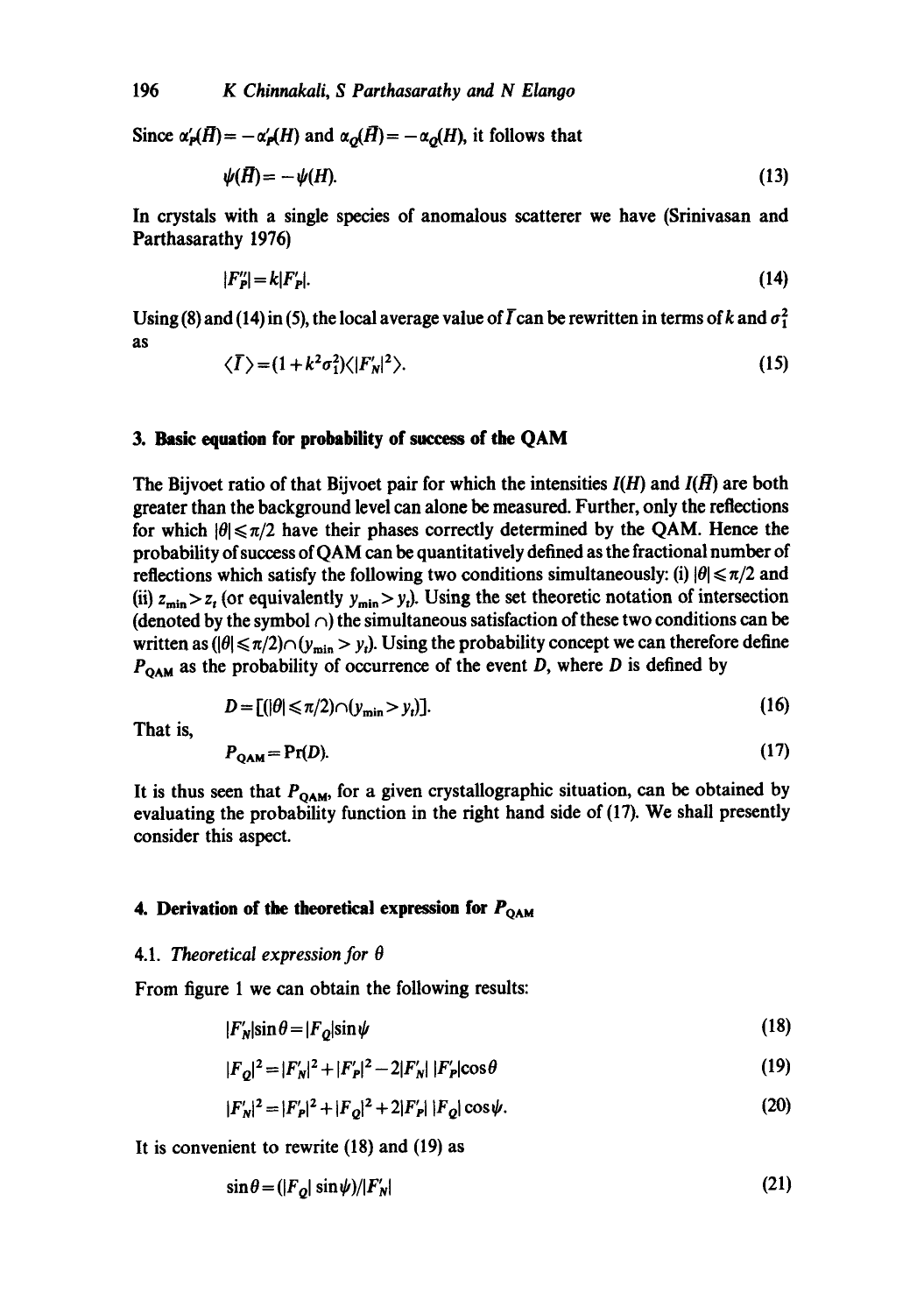Since  $\alpha'_{\bf P}(H) = -\alpha'_{\bf P}(H)$  and  $\alpha_{\bf O}(H) = -\alpha_{\bf O}(H)$ , it follows that

$$
\psi(\vec{H}) = -\psi(H). \tag{13}
$$

In crystals with a single species of anomalous scatterer we have (Srinivasan and Parthasarathy 1976)

$$
|F_p''| = k|F_p|. \tag{14}
$$

Using (8) and (14) in (5), the local average value of  $\overline{I}$  can be rewritten in terms of k and  $\sigma_1^2$ as

$$
\langle \overline{I} \rangle = (1 + k^2 \sigma_1^2) \langle |F_N'|^2 \rangle. \tag{15}
$$

#### **3. Basic equation for probability of success of the QAM**

The Bijvoet ratio of that Bijvoet pair for which the intensities  $I(H)$  and  $I(H)$  are both greater than the background level can alone be measured. Further, only the reflections for which  $|\theta| \le \pi/2$  have their phases correctly determined by the QAM. Hence the probability of success of QAM can be quantitatively defined as the fractional number of reflections which satisfy the following two conditions simultaneously: (i)  $|\theta| \le \pi/2$  and (ii)  $z_{\text{min}} > z_t$  (or equivalently  $y_{\text{min}} > y_t$ ). Using the set theoretic notation of intersection (denoted by the symbol  $\cap$ ) the simultaneous satisfaction of these two conditions can be written as  $(|\theta| \le \pi/2) \cap (y_{\min} > y_i)$ . Using the probability concept we can therefore define  $P_{\text{OAM}}$  as the probability of occurrence of the event *D*, where *D* is defined by

$$
D = [(\vert \theta \vert \leq \pi/2) \cap (y_{\min} > y_t)].\tag{16}
$$

That is,

$$
P_{\mathbf{QAM}} = \Pr(D). \tag{17}
$$

It is thus seen that  $P_{QAM}$ , for a given crystallographic situation, can be obtained by evaluating the probability function in the fight hand side of (17). We shall presently consider this aspect.

# 4. Derivation of the theoretical expression for  $P_{\text{OAM}}$

#### 4.1. *Theoretical expression for 0*

From figure 1 we can obtain the following results:

$$
|F_N'|\sin\theta = |F_Q|\sin\psi\tag{18}
$$

$$
|F_{Q}|^{2} = |F'_{N}|^{2} + |F'_{P}|^{2} - 2|F'_{N}| |F'_{P}|\cos\theta
$$
\n(19)

$$
|F'_{N}|^{2} = |F'_{P}|^{2} + |F_{O}|^{2} + 2|F'_{P}| |F_{O}| \cos \psi.
$$
 (20)

It is convenient to rewrite (18) and (19) as

$$
\sin \theta = (|F_{Q}| \sin \psi) / |F_{N}| \tag{21}
$$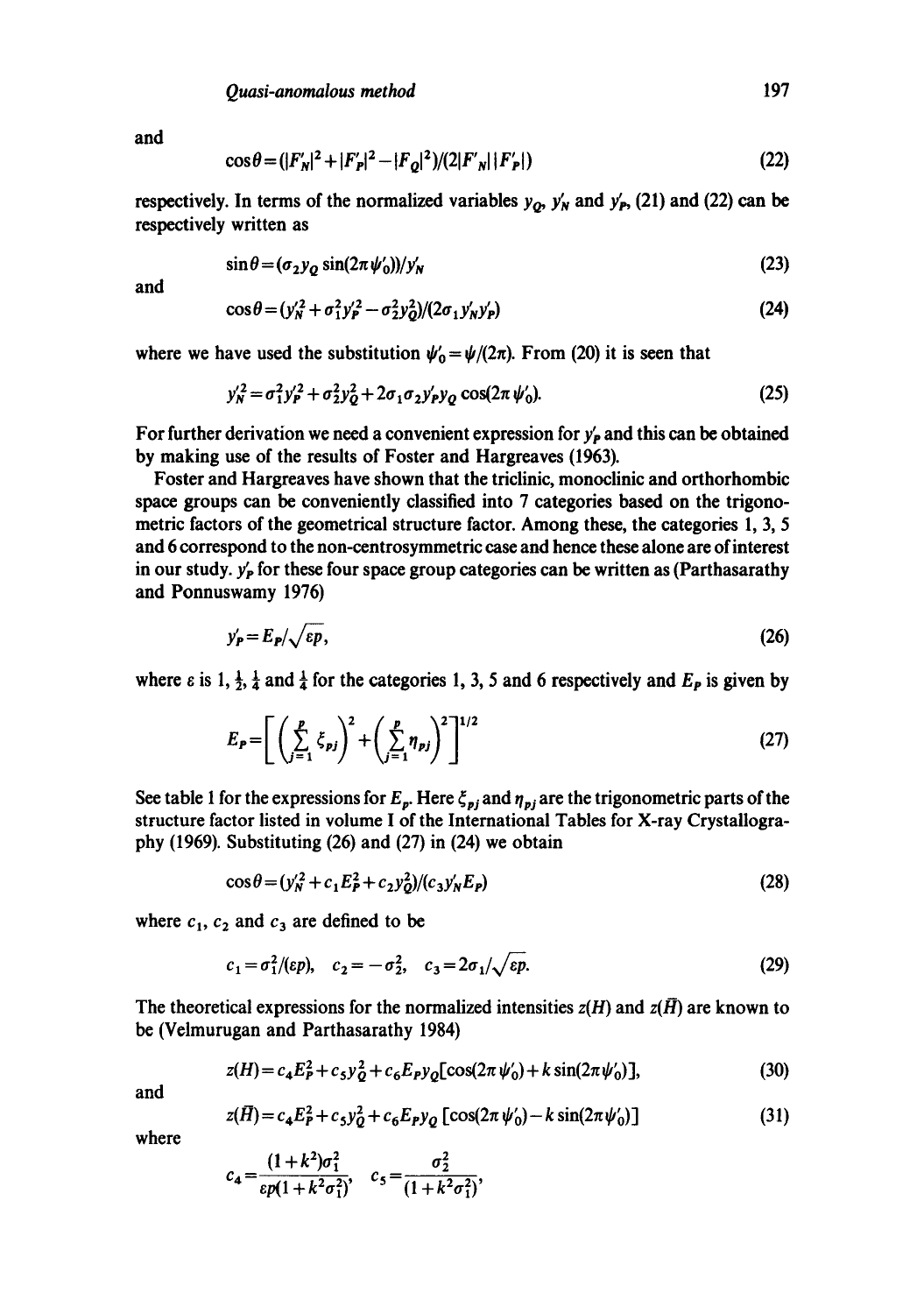and

$$
\cos \theta = (|F_N'|^2 + |F_P'|^2 - |F_Q|^2)/(2|F_N'|F_P'|)
$$
\n(22)

respectively. In terms of the normalized variables  $y_{\alpha}$ ,  $y'_{N}$  and  $y'_{P}$ , (21) and (22) can be respectively written as

$$
\sin \theta = (\sigma_2 y_0 \sin(2\pi \psi_0))/y'_N \tag{23}
$$

*and* 

$$
\cos\theta = (y_N^2 + \sigma_1^2 y_P^2 - \sigma_2^2 y_Q^2)/(2\sigma_1 y_N y_P)
$$
 (24)

where we have used the substitution  $\psi_0 = \psi/(2\pi)$ . From (20) it is seen that

$$
y_N^{\prime 2} = \sigma_1^2 y_P^{\prime 2} + \sigma_2^2 y_Q^2 + 2 \sigma_1 \sigma_2 y_P^{\prime} y_Q \cos(2\pi \psi_0^{\prime}).
$$
 (25)

For further derivation we need a convenient expression for  $y'_p$  and this can be obtained by making use of the results of Foster and Hargreaves (1963).

Foster and Hargreaves have shown that the triclinic, monoclinic and orthorhombic space groups can be conveniently classified into 7 categories based on the trigonometric factors of the geometrical structure factor. Among these, the categories 1, 3, 5 and 6 correspond to the non-centrosymmetric case and hence these alone are of interest in our study.  $y'_P$  for these four space group categories can be written as (Parthasarathy and Ponnuswamy 1976)

$$
y'_{\mathbf{P}} = E_{\mathbf{P}} / \sqrt{\varepsilon p},\tag{26}
$$

where  $\varepsilon$  is 1,  $\frac{1}{2}$ ,  $\frac{1}{4}$  and  $\frac{1}{4}$  for the categories 1, 3, 5 and 6 respectively and  $E_p$  is given by

$$
E_P = \left[ \left( \sum_{j=1}^P \xi_{pj} \right)^2 + \left( \sum_{j=1}^P \eta_{pj} \right)^2 \right]^{1/2} \tag{27}
$$

See table 1 for the expressions for  $E_p$ . Here  $\zeta_{pj}$  and  $\eta_{pj}$  are the trigonometric parts of the structure factor listed in volume I of the International Tables for X-ray Crystallography (1969). Substituting (26) and (27) in (24) we obtain

$$
\cos\theta = (y_N^2 + c_1 E_P^2 + c_2 y_0^2) / (c_3 y_N^{\prime} E_P)
$$
\n(28)

where  $c_1$ ,  $c_2$  and  $c_3$  are defined to be

$$
c_1 = \sigma_1^2/(ep), \quad c_2 = -\sigma_2^2, \quad c_3 = 2\sigma_1/\sqrt{ep}.
$$
 (29)

The theoretical expressions for the normalized intensities  $z(H)$  and  $z(\bar{H})$  are known to be (Velmurugan and Parthasarathy 1984)

$$
z(H) = c_4 E_P^2 + c_5 y_2^2 + c_6 E_P y_2 [\cos(2\pi \psi_0') + k \sin(2\pi \psi_0)],
$$
\n(30)

and

$$
z(\bar{H}) = c_4 E_P^2 + c_5 y_0^2 + c_6 E_P y_0 \left[ \cos(2\pi \psi_0') - k \sin(2\pi \psi_0') \right]
$$
(31)

where

$$
c_4 = \frac{(1+k^2)\sigma_1^2}{\epsilon p(1+k^2\sigma_1^2)}, \quad c_5 = \frac{\sigma_2^2}{(1+k^2\sigma_1^2)},
$$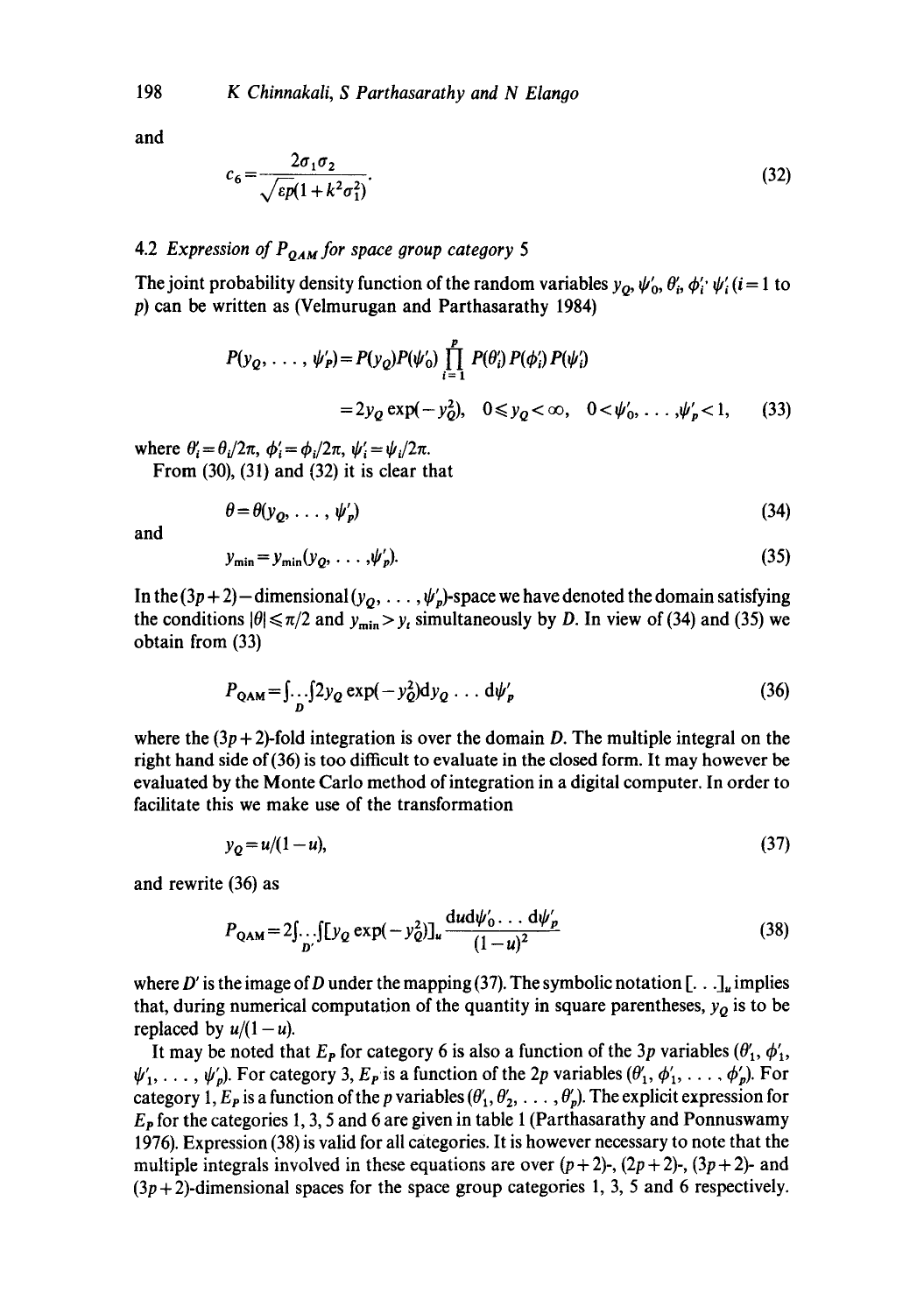and

$$
c_6 = \frac{2\sigma_1 \sigma_2}{\sqrt{\varepsilon p (1 + k^2 \sigma_1^2)}}.
$$
\n(32)

# 4.2 *Expression of P<sub>OAM</sub> for space group category* 5

The joint probability density function of the random variables  $y_o, \psi'_o, \theta'_i, \phi'_i, \psi'_i$  (i=1 to p) can be written as (Velmurugan and Parthasarathy 1984)

$$
P(y_Q, ..., \psi'_P) = P(y_Q)P(\psi'_0) \prod_{i=1}^P P(\theta'_i) P(\phi'_i) P(\psi'_i)
$$
  
=  $2y_Q \exp(-y_Q^2), \quad 0 \le y_Q < \infty, \quad 0 < \psi'_0, ..., \psi'_P < 1,$  (33)

where  $\theta_i' = \theta_i/2\pi$ ,  $\phi_i' = \phi_i/2\pi$ ,  $\psi_i' = \psi_i/2\pi$ .

From (30), (31) and (32) it is clear that

$$
\theta = \theta(y_{\mathbf{Q}}, \ldots, \psi_p) \tag{34}
$$

**and** 

$$
y_{\min} = y_{\min}(y_Q, \dots, \psi_p'). \tag{35}
$$

In the  $(3p+2)$  -dimensional  $(y_Q, \ldots, \psi_p')$ -space we have denoted the domain satisfying the conditions  $|\theta| \le \pi/2$  and  $y_{\text{min}} > y_t$  simultaneously by D. In view of (34) and (35) we obtain from (33)

$$
P_{QAM} = \int_{D} \int 2y_Q \exp(-y_Q^2) dy_Q \dots d\psi_p'
$$
 (36)

where the  $(3p + 2)$ -fold integration is over the domain D. The multiple integral on the right hand side of(36) is too difficult to evaluate in the dosed form. It may however be evaluated by the Monte Carlo method of integration in a digital computer. In order to facilitate this we make use of the transformation

$$
y_Q = u/(1-u),\tag{37}
$$

and rewrite (36) as

$$
P_{QAM} = 2 \int_{D'} \int [y_Q \exp(-y_Q^2)]_u \frac{du d\psi'_0 \dots d\psi'_p}{(1-u)^2}
$$
 (38)

where D' is the image of D under the mapping (37). The symbolic notation  $[\dots]_u$  implies that, during numerical computation of the quantity in square parentheses,  $y<sub>Q</sub>$  is to be replaced by  $u/(1-u)$ .

It may be noted that  $E_p$  for category 6 is also a function of the 3p variables ( $\theta'_1$ ,  $\phi'_1$ ,  $\psi'_1, \ldots, \psi'_p$ ). For category 3,  $E_p$  is a function of the 2p variables  $(\theta'_1, \phi'_1, \ldots, \phi'_p)$ . For category 1,  $E_p$  is a function of the p variables  $(\theta'_1, \theta'_2, \ldots, \theta'_p)$ . The explicit expression for  $E<sub>P</sub>$  for the categories 1, 3, 5 and 6 are given in table 1 (Parthasarathy and Ponnuswamy 1976). Expression (38) is valid for all categories. It is however necessary to note that the multiple integrals involved in these equations are over  $(p+2)$ -,  $(2p+2)$ -,  $(3p+2)$ - and  $(3p+2)$ -dimensional spaces for the space group categories 1, 3, 5 and 6 respectively.

198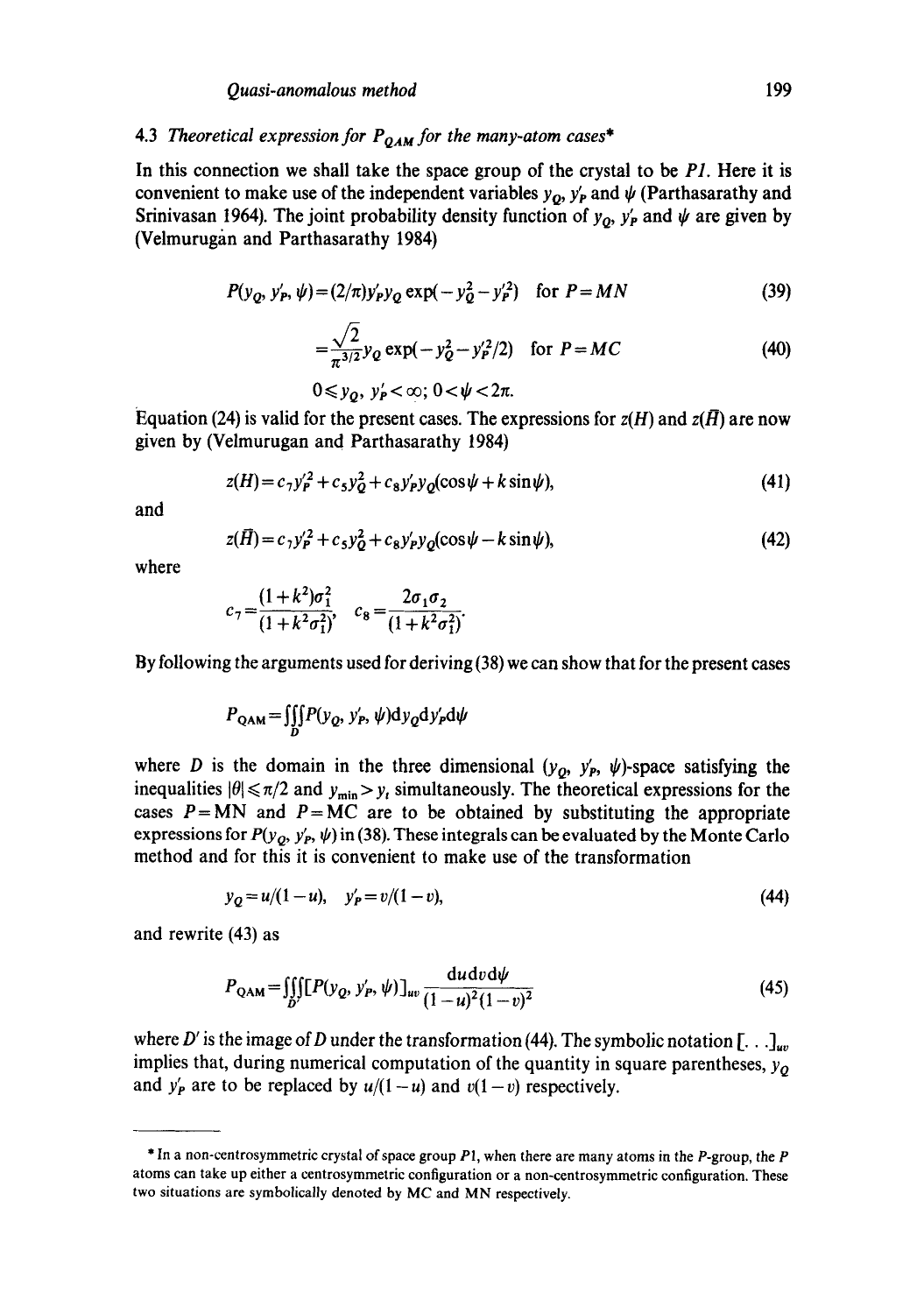# 4.3 *Theoretical expression for PQau for the many-atom cases\**

In this connection we shall take the space group of the crystal to be *P1.* Here it is convenient to make use of the independent variables  $y_o$ ,  $y_p'$  and  $\psi$  (Parthasarathy and Srinivasan 1964). The joint probability density function of  $y_0$ ,  $y'_P$  and  $\psi$  are given by (Velmurugan and Parthasarathy 1984)

$$
P(y_Q, y'_P, \psi) = (2/\pi)y'_P y_Q \exp(-y_Q^2 - y_P'^2) \quad \text{for } P = MN \tag{39}
$$

$$
=\frac{\sqrt{2}}{\pi^{3/2}}y_Q\exp(-y_Q^2-y_P'^2/2)\quad\text{for }P=MC\tag{40}
$$

$$
0\leq y_{\mathbf{Q}},\ y_{\mathbf{P}}'<\infty;\ 0<\psi<2\pi.
$$

Equation (24) is valid for the present cases. The expressions for  $z(H)$  and  $z(\overline{H})$  are now given by (Velmurugan and Parthasarathy 1984)

$$
z(H) = c_7 y_P'^2 + c_5 y_Q^2 + c_8 y_P' y_Q(\cos\psi + k \sin\psi),\tag{41}
$$

and

$$
z(\bar{H}) = c_1 y_P'^2 + c_5 y_Q^2 + c_8 y_P' y_Q(\cos\psi - k \sin\psi),\tag{42}
$$

where

$$
c_7 = \frac{(1+k^2)\sigma_1^2}{(1+k^2\sigma_1^2)}, \quad c_8 = \frac{2\sigma_1\sigma_2}{(1+k^2\sigma_1^2)}.
$$

By following the arguments used for deriving (38) we can show that for the present cases

$$
P_{QAM} = \iiint_D P(y_Q, y'_P, \psi) dy_Q dy'_P d\psi
$$

where D is the domain in the three dimensional  $(y_o, y_p, \psi)$ -space satisfying the inequalities  $|\theta| \le \pi/2$  and  $y_{\min} > y_t$  simultaneously. The theoretical expressions for the cases  $P = MN$  and  $P = MC$  are to be obtained by substituting the appropriate expressions for  $P(y_Q, y'_P, \psi)$  in (38). These integrals can be evaluated by the Monte Carlo method and for this it is convenient to make use of the transformation

$$
y_Q = u/(1-u), \quad y'_P = v/(1-v), \tag{44}
$$

and rewrite (43) as

$$
P_{QAM} = \iiint_{D'} [P(y_Q, y'_P, \psi)]_{uv} \frac{du dv d\psi}{(1 - u)^2 (1 - v)^2}
$$
(45)

where D' is the image of D under the transformation (44). The symbolic notation [...]<sub>uv</sub> implies that, during numerical computation of the quantity in square parentheses,  $y_Q$ and  $y'_P$  are to be replaced by  $u/(1-u)$  and  $v(1-v)$  respectively.

<sup>\*</sup> In a non-centrosymmetric crystal of space group Pl, when there are many atoms in the P-group, the P atoms can take up either a centrosymmetric configuration or a non-centrosymmetric configuration. These two situations are symbolically denoted by MC and MN respectively.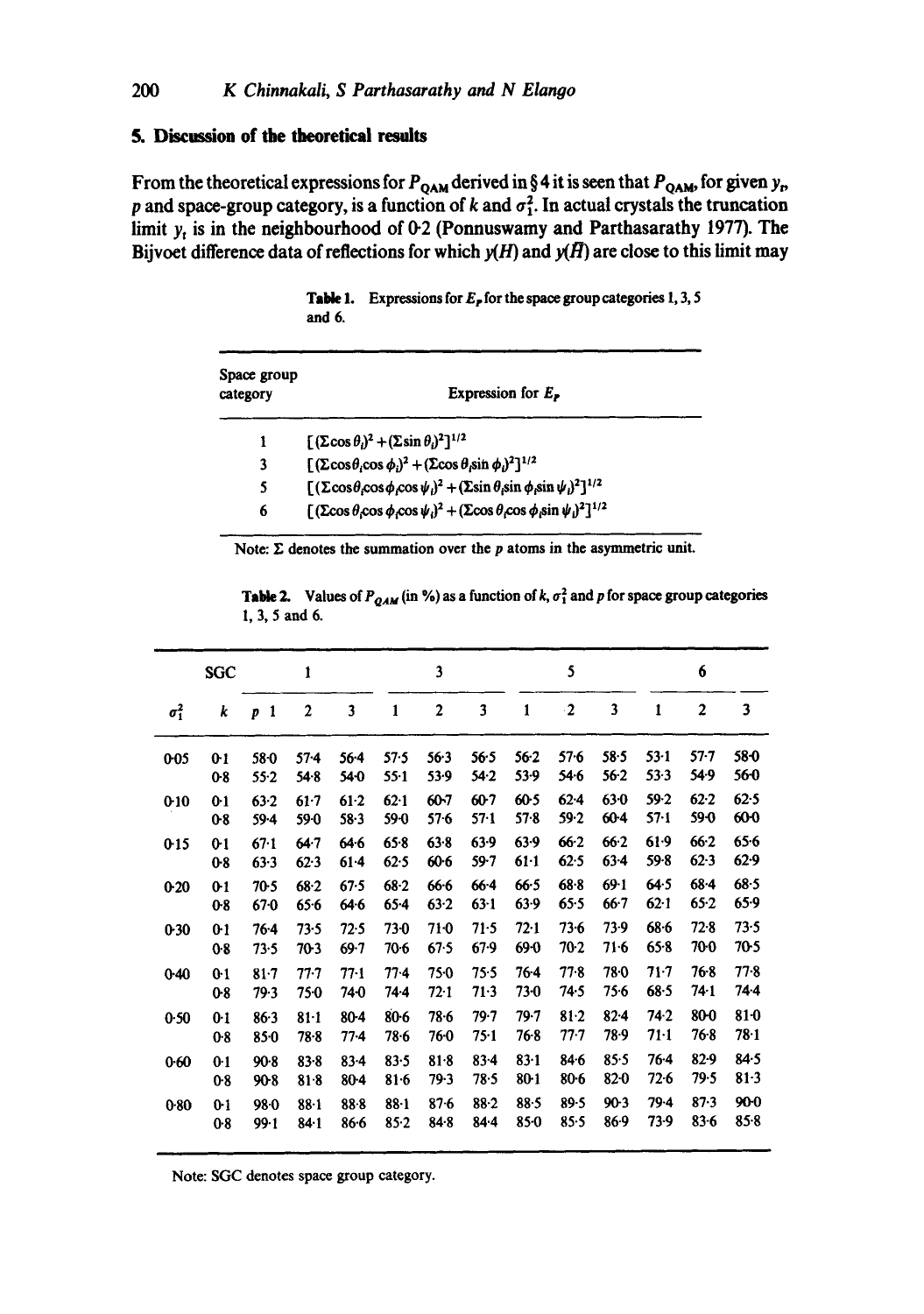# **5. Discussion of the theoretical results**

From the theoretical expressions for  $P_{QAM}$  derived in § 4 it is seen that  $P_{QAM}$ , for given  $y_p$ , p and space-group category, is a function of  $k$  and  $\sigma_1^2$ . In actual crystals the truncation limit  $y_t$  is in the neighbourhood of 0-2 (Ponnuswamy and Parthasarathy 1977). The Bijvoet difference data of reflections for which  $y(H)$  and  $y(H)$  are close to this limit may

**Table** 1. Expressions for Er **for the** space group categories 1, 3, 5 **and** 6.

| Space group<br>category | Expression for $E_{\rm P}$                                                                                                        |
|-------------------------|-----------------------------------------------------------------------------------------------------------------------------------|
| ì                       | $\int (\Sigma \cos \theta_i)^2 + (\Sigma \sin \theta_i)^2]^{1/2}$                                                                 |
| 3                       | $[(\Sigma \cos \theta_i \cos \phi_i)^2 + (\Sigma \cos \theta_i \sin \phi_i)^2]^{1/2}$                                             |
| 5                       | $[(\Sigma \cos \theta \cos \phi \cos \psi)^2 + (\Sigma \sin \theta \sin \phi \sin \psi)^2]^{1/2}$                                 |
| 6                       | $[(\text{Zcos }\theta_1\text{cos }\phi_1\text{cos }\psi_1)^2 + (\text{Zcos }\theta_1\text{cos }\phi_1\text{sin }\psi_1)^2]^{1/2}$ |

Note:  $\Sigma$  denotes the summation over the  $p$  atoms in the asymmetric unit.

**Table 2.** Values of  $P_{QAM}$  (in %) as a function of k,  $\sigma_1^2$  and p for space group categories I, 3, 5 and 6.

|              | <b>SGC</b>     |                   | ı                |          |          | 3        |          |          | 5         |          |          | 6              |          |
|--------------|----------------|-------------------|------------------|----------|----------|----------|----------|----------|-----------|----------|----------|----------------|----------|
| $\sigma_1^2$ | k              | $\mathbf{1}$<br>p | $\boldsymbol{2}$ | 3        | 1        | 2        | 3        | 1        | $\cdot$ 2 | 3        | 1        | $\overline{2}$ | 3        |
| $0 - 05$     | 0 <sub>1</sub> | 58.0              | $57 - 4$         | $56 - 4$ | 57.5     | 56.3     | 56.5     | $56-2$   | $57 - 6$  | $58 - 5$ | $53-1$   | $57 - 7$       | 58-0     |
|              | 08             | $55-2$            | 54.8             | 540      | $55 - 1$ | $53-9$   | 54.2     | 53.9     | 54.6      | $56-2$   | $53-3$   | 54.9           | 560      |
| 0:10         | 0 <sup>1</sup> | $63 - 2$          | $61-7$           | $61-2$   | $62-1$   | 60-7     | $60-7$   | 60-5     | $62 - 4$  | $63 - 0$ | 59.2     | $62 - 2$       | 62.5     |
|              | 08             | $59 - 4$          | 59-0             | $58 - 3$ | 59-0     | 576      | $57 - 1$ | 57.8     | 59.2      | $60-4$   | $57 - 1$ | 59 0           | 600      |
| 0.15         | $0-1$          | 67.1              | $64 - 7$         | 64.6     | 65.8     | $63 - 8$ | 63.9     | 63.9     | $66-2$    | 66.2     | $61-9$   | $66-2$         | 65.6     |
|              | $0-8$          | 63.3              | 62.3             | $61 - 4$ | 62.5     | $60 - 6$ | 59.7     | $61-1$   | 62.5      | $63 - 4$ | 59.8     | 62.3           | 62.9     |
| $0-20$       | $0-1$          | $70-5$            | 68.2             | 67.5     | $68 - 2$ | 66.6     | $66 - 4$ | $66 - 5$ | 68.8      | $69-1$   | 64.5     | $68 - 4$       | $68 - 5$ |
|              | $0-8$          | 670               | 65.6             | 64.6     | $65 - 4$ | $63 - 2$ | $63 - 1$ | $63-9$   | 65.5      | $66 - 7$ | $62 - 1$ | $65-2$         | $65-9$   |
| 0.30         | 0 <sub>1</sub> | $76-4$            | 73.5             | 72.5     | $73-0$   | 71.0     | 71.5     | 72.1     | $73 - 6$  | 73.9     | $68 - 6$ | $72 - 8$       | 73.5     |
|              | $0-8$          | 73.5              | 70-3             | $69 - 7$ | 70.6     | 67.5     | 67.9     | 69-0     | 70-2      | 71.6     | 65.8     | 70 0           | 70.5     |
| $0 - 40$     | 0 <sup>1</sup> | $81 - 7$          | $77-7$           | $77-1$   | $77-4$   | 75.0     | 75.5     | 76-4     | 77.8      | 78.0     | $71 - 7$ | 768            | $77-8$   |
|              | $0-8$          | 79.3              | 750              | 740      | 74 4     | $72-1$   | 71.3     | 73-0     | 74.5      | $75-6$   | 68.5     | 74-1           | 744      |
| 0.50         | 0.1            | $86-3$            | $81-1$           | 80-4     | $80-6$   | 78.6     | $79 - 7$ | 79.7     | 81.2      | $82 - 4$ | 74.2     | 80-0           | $81-0$   |
|              | 0.8            | 850               | $78 - 8$         | $77-4$   | 78.6     | 760      | 75.1     | 76-8     | 77.7      | 78.9     | $71-1$   | 76.8           | $78 - 1$ |
| 0.60         | 0 <sup>1</sup> | $90-8$            | $83 - 8$         | $83 - 4$ | 83.5     | $81-8$   | $83 - 4$ | $83 - 1$ | 84.6      | 85.5     | 76 4     | $82 - 9$       | 84.5     |
|              | 0.8            | 90-8              | $81 - 8$         | 80-4     | $81 - 6$ | 79-3     | 78.5     | $80-1$   | 80.6      | $82 - 0$ | 72.6     | 79.5           | $81-3$   |
| 0.80         | $0-1$          | 98.0              | $88 - 1$         | 88.8     | $88 - 1$ | 876      | $88 - 2$ | $88 - 5$ | 89-5      | $90-3$   | $79-4$   | 87.3           | 900      |
|              | $0-8$          | 99.1              | $84 - 1$         | $86-6$   | 85.2     | 84.8     | 84.4     | 850      | 85.5      | 86.9     | 73.9     | $83 - 6$       | $85 - 8$ |

Note: SGC denotes space group category.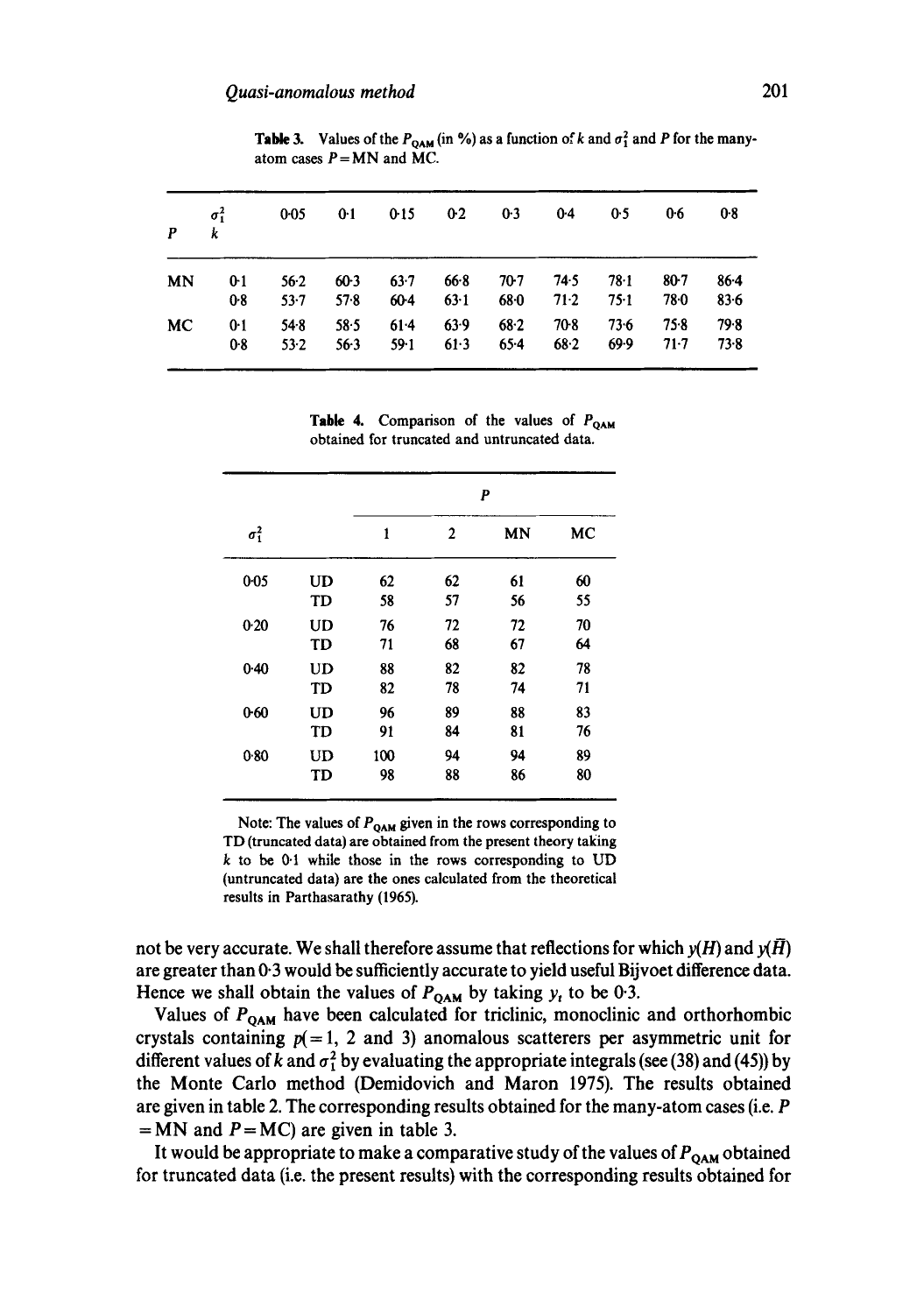| P  | $\sigma_1^2$<br>k | $0 - 0.5$ | 0:1    | 0:15     | 02     | 0.3    | $0-4$  | 0.5    | 0.6    | $0-8$    |
|----|-------------------|-----------|--------|----------|--------|--------|--------|--------|--------|----------|
| MN | $0-1$             | $56-2$    | $60-3$ | $63 - 7$ | 66.8   | 70.7   | 74.5   | 78.1   | $80-7$ | $86-4$   |
|    | 0.8               | $53 - 7$  | 57.8   | $60-4$   | 63.1   | 68.0   | 71.2   | $75-1$ | 78.0   | $83 - 6$ |
| MC | 0.1               | $54-8$    | 58.5   | $61-4$   | $63-9$ | $68-2$ | $70-8$ | 73.6   | 75.8   | 79.8     |
|    | 08                | $53 - 2$  | $56-3$ | $59-1$   | 61.3   | $65-4$ | 68.2   | 69.9   | $71-7$ | 73.8     |

**Table 3.** Values of the  $P_{QAM}$  (in %) as a function of k and  $\sigma_1^2$  and P for the manyatom cases  $P = MN$  and MC.

**Table 4.** Comparison of the values of  $P_{QAM}$ **obtained for truncated and untruncated data.** 

|              |           |     |              | P  |    |
|--------------|-----------|-----|--------------|----|----|
| $\sigma_1^2$ |           | 1   | $\mathbf{2}$ | MN | MC |
| $0 - 05$     | UD        | 62  | 62           | 61 | 60 |
|              | TD        | 58  | 57           | 56 | 55 |
| 0.20         | UD        | 76  | 72           | 72 | 70 |
|              | <b>TD</b> | 71  | 68           | 67 | 64 |
| $0 - 40$     | <b>UD</b> | 88  | 82           | 82 | 78 |
|              | TD        | 82  | 78           | 74 | 71 |
| 0.60         | <b>UD</b> | 96  | 89           | 88 | 83 |
|              | TD        | 91  | 84           | 81 | 76 |
| 0.80         | <b>UD</b> | 100 | 94           | 94 | 89 |
|              | TD        | 98  | 88           | 86 | 80 |

Note: The values of  $P_{QAM}$  given in the rows corresponding to TD **(truncated data) are obtained from the present theory taking**  k to be 0.t **while those in the rows corresponding to** UD **(untruncated data) are the ones calculated from the theoretical results in Parthasarathy** (1965).

not be very accurate. We shall therefore assume that reflections for which  $y(H)$  and  $y(H)$ **are greater than 0.3 would be sufficiently accurate to yield useful Bijvoet difference data.**  Hence we shall obtain the values of  $P_{QAM}$  by taking  $y_t$  to be 0.3.

Values of P<sub>QAM</sub> have been calculated for triclinic, monoclinic and orthorhombic crystals containing  $p(=1, 2 \text{ and } 3)$  anomalous scatterers per asymmetric unit for different values of k and  $\sigma_1^2$  by evaluating the appropriate integrals (see (38) and (45)) by **the Monte Carlo method (Demidovich and Maron 1975). The results obtained are given in table 2. The corresponding results obtained for the many-atom cases (i.e. P**   $=$  MN and  $P = MC$ ) are given in table 3.

It would be appropriate to make a comparative study of the values of P<sub>OAM</sub> obtained **for truncated data (i.e. the present results) with the corresponding results obtained for**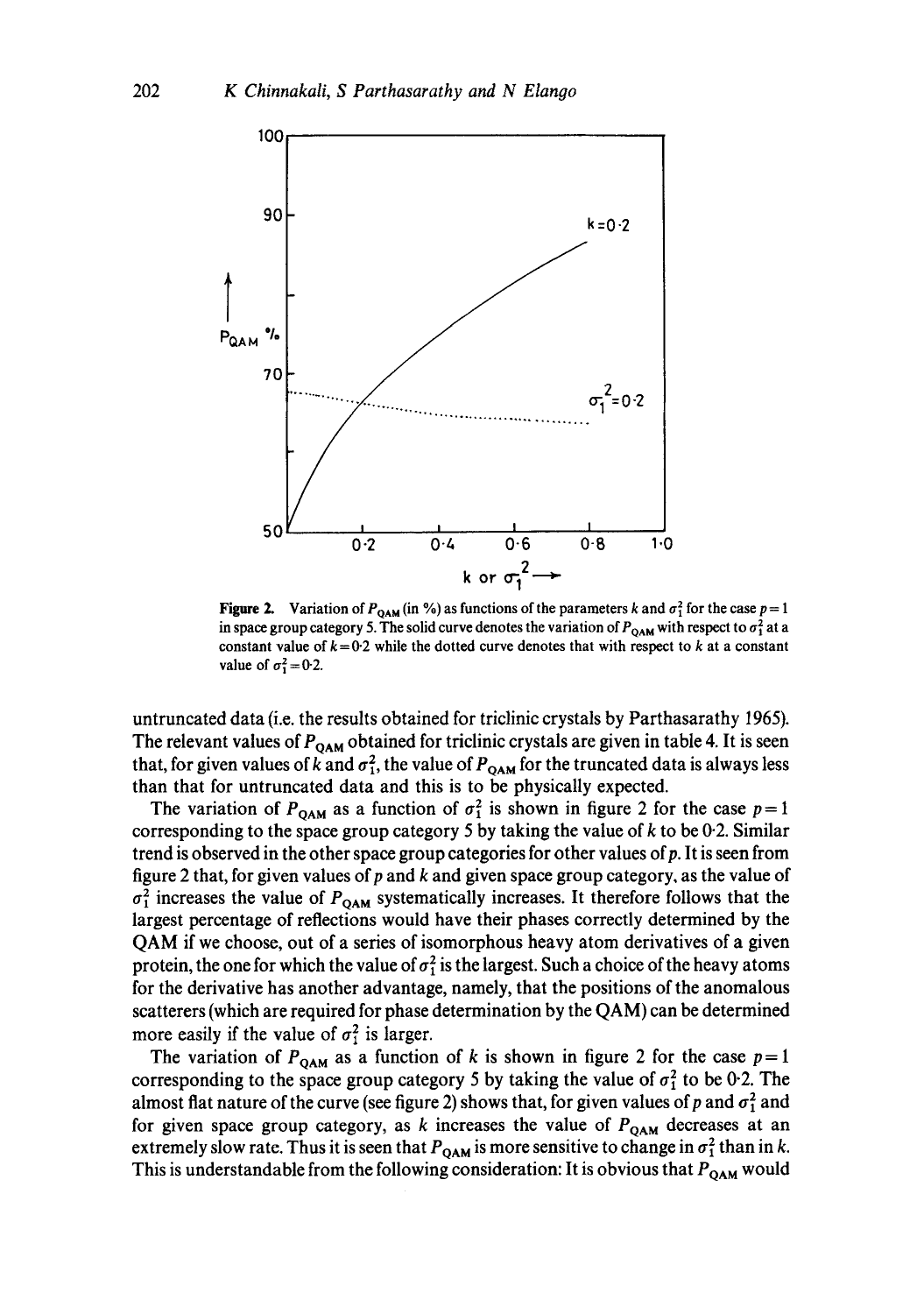

**Figure 2.** Variation of  $P_{QAM}$  (in %) as functions of the parameters k and  $\sigma_1^2$  for the case  $p=1$ in space group category 5. The solid curve denotes the variation of  $P_{\text{OAM}}$  with respect to  $\sigma_1^2$  at a constant value of  $k = 0.2$  while the dotted curve denotes that with respect to k at a constant value of  $\sigma_1^2 = 0.2$ .

untruncated data (i.e. the results obtained for triclinic crystals by Parthasarathy 1965). The relevant values of  $P_{QAM}$  obtained for triclinic crystals are given in table 4. It is seen that, for given values of k and  $\sigma_1^2$ , the value of  $P_{QAM}$  for the truncated data is always less than that for untruncated data and this is to be physically expected.

The variation of  $P_{\text{OAM}}$  as a function of  $\sigma_1^2$  is shown in figure 2 for the case  $p = 1$ corresponding to the space group category 5 by taking the value of  $k$  to be 0.2. Similar trend is observed in the other space group categories for other values of  $p$ . It is seen from figure 2 that, for given values of  $p$  and  $k$  and given space group category, as the value of  $\sigma_1^2$  increases the value of  $P_{QAM}$  systematically increases. It therefore follows that the largest percentage of reflections would have their phases correctly determined by the QAM if we choose, out of a series of isomorphous heavy atom derivatives of a given protein, the one for which the value of  $\sigma_1^2$  is the largest. Such a choice of the heavy atoms for the derivative has another advantage, namely, that the positions of the anomalous scatterers (which are required for phase determination by the QAM) can be determined more easily if the value of  $\sigma_1^2$  is larger.

The variation of  $P_{QAM}$  as a function of k is shown in figure 2 for the case  $p=1$ corresponding to the space group category 5 by taking the value of  $\sigma_1^2$  to be 0.2. The almost flat nature of the curve (see figure 2) shows that, for given values of p and  $\sigma_1^2$  and for given space group category, as k increases the value of  $P_{QAM}$  decreases at an extremely slow rate. Thus it is seen that  $P_{\text{OAM}}$  is more sensitive to change in  $\sigma_1^2$  than in k. This is understandable from the following consideration: It is obvious that  $P_{\text{OAM}}$  would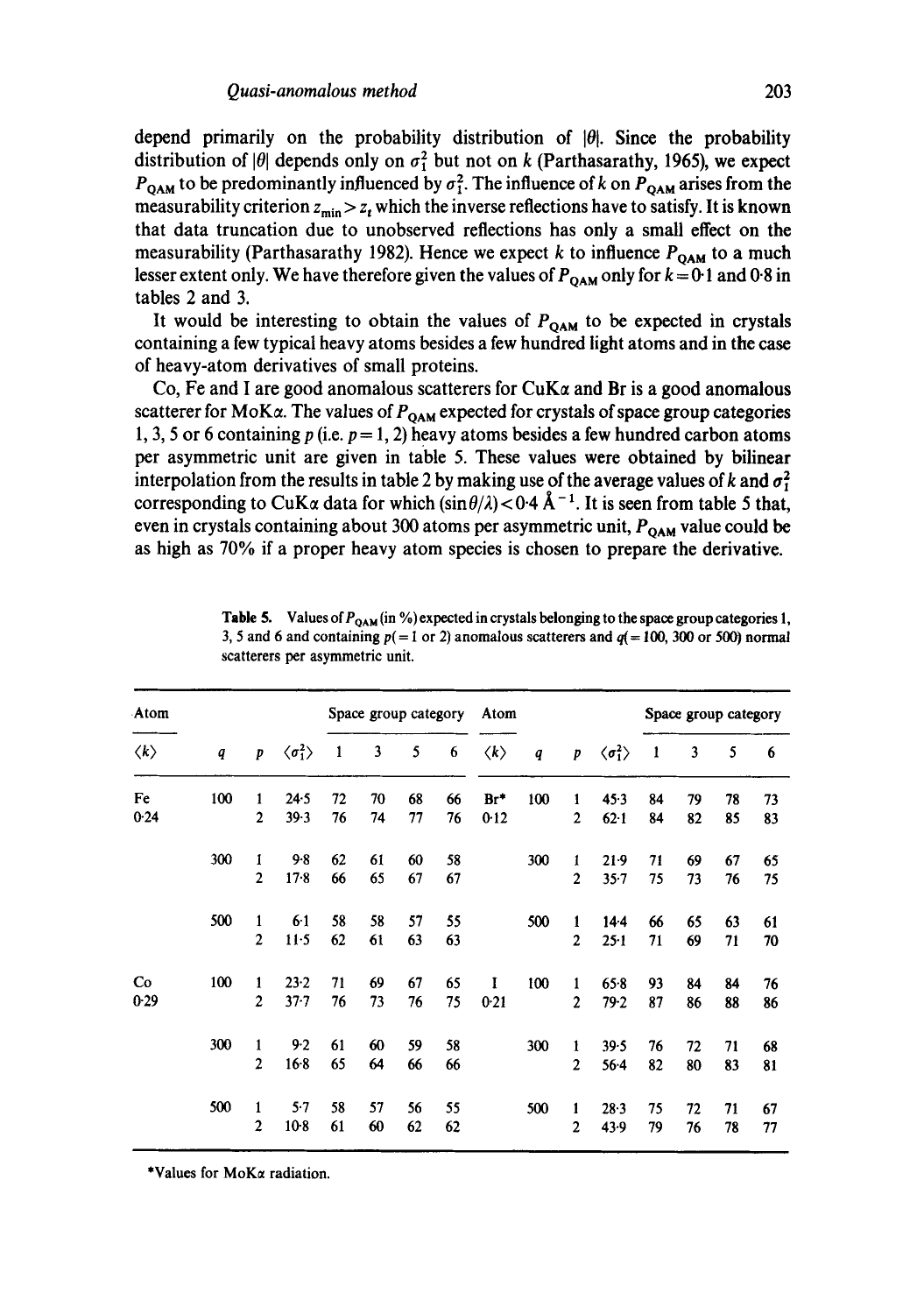depend primarily on the probability distribution of  $|\theta|$ . Since the probability distribution of  $|\theta|$  depends only on  $\sigma_1^2$  but not on k (Parthasarathy, 1965), we expect  $P_{\text{OAM}}$  to be predominantly influenced by  $\sigma_1^2$ . The influence of k on  $P_{\text{OAM}}$  arises from the measurability criterion  $z_{\min} > z_t$  which the inverse reflections have to satisfy. It is known **that data truncation due to unobserved reflections has only a small effect on the**  measurability (Parthasarathy 1982). Hence we expect  $k$  to influence  $P_{\text{OAM}}$  to a much lesser extent only. We have therefore given the values of  $P_{OAM}$  only for  $k = 0.1$  and 0.8 in **tables 2 and 3.** 

It would be interesting to obtain the values of  $P_{OAM}$  to be expected in crystals **containing a few typical heavy atoms besides a few hundred light atoms and in the case of heavy-atom derivatives of small proteins.** 

Co, Fe and I are good anomalous scatterers for  $CuK\alpha$  and Br is a good anomalous scatterer for MoK $\alpha$ . The values of  $P_{\text{OAM}}$  expected for crystals of space group categories 1, 3, 5 or 6 containing p (i.e.  $p = 1$ , 2) heavy atoms besides a few hundred carbon atoms **per asymmetric unit are given in table 5. These values were obtained by bilinear**  interpolation from the results in table 2 by making use of the average values of k and  $\sigma_1^2$ corresponding to CuK $\alpha$  data for which  $(\sin \theta/\lambda) < 0.4$  Å<sup>-1</sup>. It is seen from table 5 that, even in crystals containing about 300 atoms per asymmetric unit, P<sub>OAM</sub> value could be **as high as 70% if a proper heavy atom species is chosen to prepare the derivative.** 

| Atom                |                  |                  |                              |              | Space group category |    |    | Atom                |                  |                |                              |    | Space group category |    |    |
|---------------------|------------------|------------------|------------------------------|--------------|----------------------|----|----|---------------------|------------------|----------------|------------------------------|----|----------------------|----|----|
| $\langle k \rangle$ | $\boldsymbol{q}$ | $\boldsymbol{p}$ | $\langle \sigma_1^2 \rangle$ | $\mathbf{1}$ | 3                    | 5  | 6  | $\langle k \rangle$ | $\boldsymbol{q}$ | p              | $\langle \sigma_1^2 \rangle$ | -1 | 3                    | 5  | 6  |
| Fe                  | 100              | $\mathbf{1}$     | 24.5                         | 72           | 70                   | 68 | 66 | $Br^*$              | 100              | 1              | 45.3                         | 84 | 79                   | 78 | 73 |
| 0.24                |                  | $\overline{2}$   | 39.3                         | 76           | 74                   | 77 | 76 | 0.12                |                  | $\overline{2}$ | $62 - 1$                     | 84 | 82                   | 85 | 83 |
|                     | 300              | 1                | $9 - 8$                      | 62           | 61                   | 60 | 58 |                     | 300              | 1              | $21-9$                       | 71 | 69                   | 67 | 65 |
|                     |                  | $\mathbf{2}$     | $17-8$                       | 66           | 65                   | 67 | 67 |                     |                  | $\mathbf{2}$   | $35 - 7$                     | 75 | 73                   | 76 | 75 |
|                     | 500              | $\mathbf{1}$     | $6-1$                        | 58           | 58                   | 57 | 55 |                     | 500              | 1              | $14-4$                       | 66 | 65                   | 63 | 61 |
|                     |                  | $\mathbf{2}$     | $11-5$                       | 62           | 61                   | 63 | 63 |                     |                  | $\mathbf{2}$   | $25 - 1$                     | 71 | 69                   | 71 | 70 |
| Co                  | 100              | 1                | 23.2                         | 71           | 69                   | 67 | 65 | 1                   | 100              | $\mathbf{1}$   | 65.8                         | 93 | 84                   | 84 | 76 |
| 0.29                |                  | $\mathbf{2}$     | $37 - 7$                     | 76           | 73                   | 76 | 75 | 0.21                |                  | $\mathbf{2}$   | 79.2                         | 87 | 86                   | 88 | 86 |
|                     | 300              | $\mathbf{1}$     | 9.2                          | 61           | 60                   | 59 | 58 |                     | 300              | 1              | 39.5                         | 76 | 72                   | 71 | 68 |
|                     |                  | $\overline{2}$   | $16-8$                       | 65           | 64                   | 66 | 66 |                     |                  | $\overline{2}$ | $56 - 4$                     | 82 | 80                   | 83 | 81 |
|                     | 500              | $\mathbf{1}$     | 5.7                          | 58           | 57                   | 56 | 55 |                     | 500              | 1              | 28.3                         | 75 | 72                   | 71 | 67 |
|                     |                  | $\overline{2}$   | $10-8$                       | 61           | 60                   | 62 | 62 |                     |                  | 2              | 43.9                         | 79 | 76                   | 78 | 77 |

**Table 5.** Values of  $P_{\text{OAM}}$  (in %) expected in crystals belonging to the space group categories 1, 3, 5 and 6 and containing  $p(= 1 \text{ or } 2)$  anomalous scatterers and  $q(= 100, 300 \text{ or } 500)$  normal **scatterers per asymmetric unit.** 

**\*Values for MoKa radiation.**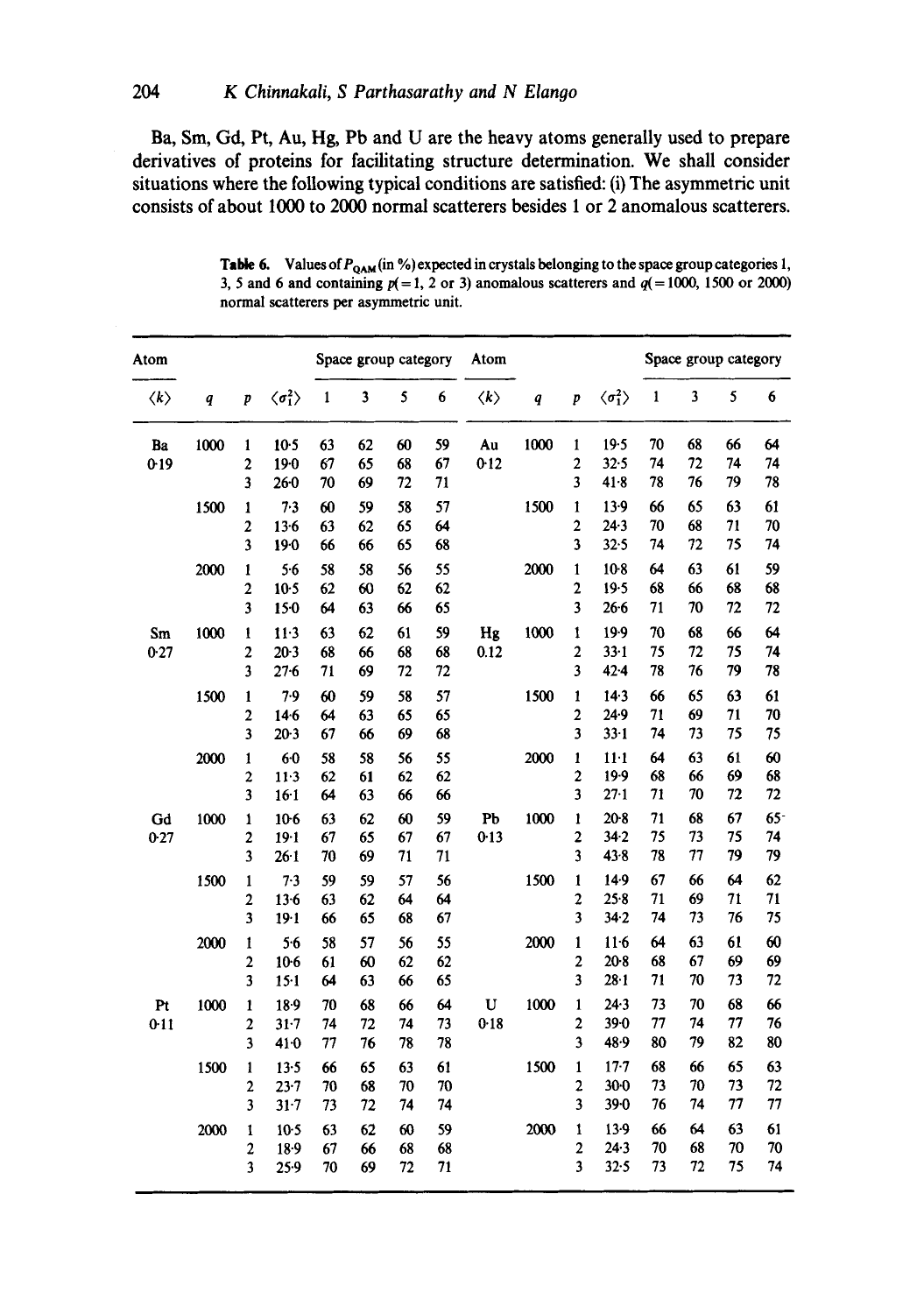**Ba, Sin, Gd, Pt, Au, Hg, Pb and U are the heavy atoms generally used to prepare derivatives of proteins for facilitating structure determination. We shall consider situations where the following typical conditions are satisfied: (i) The asymmetric unit consists of about 1000 to 2000 normal scatterers besides 1 or 2 anomalous scatterers.** 

| Atom                |                  |                         |                              |              | Space group category    |          |          | Atom                |                  |                                         |                              |              | Space group category |          |                 |
|---------------------|------------------|-------------------------|------------------------------|--------------|-------------------------|----------|----------|---------------------|------------------|-----------------------------------------|------------------------------|--------------|----------------------|----------|-----------------|
| $\langle k \rangle$ | $\boldsymbol{q}$ | $\boldsymbol{p}$        | $\langle \sigma_1^2 \rangle$ | $\mathbf{1}$ | $\overline{\mathbf{3}}$ | 5        | 6        | $\langle k \rangle$ | $\boldsymbol{q}$ | $\boldsymbol{p}$                        | $\langle \sigma_1^2 \rangle$ | $\mathbf{1}$ | 3                    | 5        | $6\phantom{1}6$ |
| Ba                  | 1000             | $\mathbf{1}$            | $10-5$                       | 63           | 62                      | 60       | 59       | Au                  | 1000             | 1                                       | 19.5                         | 70           | 68                   | 66       | 64              |
| $0-19$              |                  | $\mathbf{c}$            | $19-0$                       | 67           | 65                      | 68       | 67       | 0.12                |                  | $\overline{\mathbf{c}}$                 | 32.5                         | 74           | 72                   | 74       | 74              |
|                     |                  | $\overline{\mathbf{3}}$ | 260                          | 70           | 69                      | 72       | 71       |                     |                  | 3                                       | 41.8                         | 78           | 76                   | 79       | 78              |
|                     | 1500             | 1                       | 7.3                          | 60           | 59                      | 58       | 57       |                     | 1500             | $\pmb{1}$                               | 13.9                         | 66           | 65                   | 63       | 61              |
|                     |                  | 2                       | $13-6$                       | 63           | 62                      | 65       | 64       |                     |                  | $\overline{c}$                          | 24.3                         | 70           | 68                   | 71       | 70              |
|                     |                  | 3                       | $19-0$                       | 66           | 66                      | 65       | 68       |                     |                  | 3                                       | 32.5                         | 74           | 72                   | 75       | 74              |
|                     | 2000             | $\mathbf{1}$            | 5.6                          | 58           | 58                      | 56       | 55       |                     | 2000             | $\mathbf{1}$                            | $10-8$                       | 64           | 63                   | 61       | 59              |
|                     |                  | $\mathbf 2$             | $10-5$                       | 62           | 60                      | 62       | 62       |                     |                  | $\overline{\mathbf{c}}$                 | 19.5                         | 68           | 66                   | 68       | 68              |
|                     |                  | 3                       | $15-0$                       | 64           | 63                      | 66       | 65       |                     |                  | 3                                       | $26-6$                       | 71           | 70                   | 72       | 72              |
| Sm                  | 1000             | 1                       | $11-3$                       | 63           | 62                      | 61       | 59       | Hg                  | 1000             | 1                                       | 19.9                         | 70           | 68                   | 66       | 64              |
| 0.27                |                  | $\overline{2}$          | $20-3$                       | 68           | 66                      | 68       | 68       | 0.12                |                  | $\overline{\mathbf{c}}$                 | $33 - 1$                     | 75           | 72                   | 75       | 74              |
|                     |                  | 3                       | $27 - 6$                     | 71           | 69                      | 72       | 72       |                     |                  | 3                                       | $42 - 4$                     | 78           | 76                   | 79       | 78              |
|                     | 1500             | $\mathbf{1}$            | 7.9                          | 60           | 59                      | 58       | 57       |                     | 1500             | 1                                       | $14-3$                       | 66           | 65                   | 63       | 61              |
|                     |                  | $\overline{\mathbf{c}}$ | $14-6$                       | 64           | 63                      | 65       | 65       |                     |                  | $\overline{\mathbf{c}}$                 | 24.9                         | 71           | 69                   | 71       | 70              |
|                     |                  | 3                       | $20-3$                       | 67           | 66                      | 69       | 68       |                     |                  | 3                                       | $33 - 1$                     | 74           | 73                   | 75       | 75              |
|                     | 2000             | 1                       | $6-0$                        | 58           | 58                      | 56       | 55       |                     | 2000             | $\mathbf{1}$                            | $11-1$                       | 64           | 63                   | 61       | 60              |
|                     |                  | $\boldsymbol{2}$        | $11-3$                       | 62           | 61                      | 62       | 62       |                     |                  | $\overline{\mathbf{c}}$                 | $19-9$                       | 68           | 66                   | 69       | 68              |
|                     |                  | 3                       | $16-1$                       | 64           | 63                      | 66       | 66       |                     |                  | 3                                       | $27 - 1$                     | 71           | 70                   | 72       | 72              |
| Gd                  | 1000             | 1                       | 10-6                         | 63           | 62                      | 60       | 59       | P <sub>b</sub>      | 1000             | 1                                       | $20-8$                       | 71           | 68                   | 67       | $65 -$          |
| 0.27                |                  | $\overline{\mathbf{c}}$ | $19-1$                       | 67           | 65                      | 67       | 67       | $0 - 13$            |                  | $\overline{\mathbf{c}}$                 | 342                          | 75           | 73                   | 75       | 74              |
|                     |                  | $\overline{\mathbf{3}}$ | $26 - 1$                     | 70           | 69                      | 71       | 71       |                     |                  | 3                                       | $43 - 8$                     | 78           | 77                   | 79       | 79              |
|                     | 1500             | 1                       | 7.3                          | 59           | 59                      | 57       | 56       |                     | 1500             | $\mathbf{1}$                            | $14-9$                       | 67           | 66                   | 64       | 62              |
|                     |                  | $\overline{\mathbf{c}}$ | $13-6$                       | 63           | 62                      | 64       | 64       |                     |                  | $\overline{\mathbf{c}}$                 | 25.8                         | 71           | 69                   | 71       | 71              |
|                     |                  | 3                       | 19.1                         | 66           | 65                      | 68       | 67       |                     |                  | $\overline{\mathbf{3}}$                 | 34.2                         | 74           | 73                   | 76       | 75              |
|                     | 2000             | $\mathbf{1}$            | 5.6                          | 58           | 57                      | 56       | 55       |                     | 2000             | $\mathbf{1}$                            | $11-6$                       | 64           | 63                   | 61       | 60              |
|                     |                  | $\overline{\mathbf{c}}$ | $10-6$                       | 61           | 60                      | 62       | 62       |                     |                  | $\overline{c}$                          | $20-8$                       | 68           | 67                   | 69       | 69              |
|                     |                  | 3                       | $15-1$                       | 64           | 63                      | 66       | 65       |                     |                  | $\overline{\mathbf{3}}$                 | $28 - 1$                     | 71           | 70                   | 73       | 72              |
| Pt                  | 1000             | $\mathbf{1}$            | 18.9                         | 70           | 68                      | 66       | 64       | U                   | 1000             | $\mathbf{1}$                            | 24.3                         | 73           | 70                   | 68       | 66              |
| 0.11                |                  | $\boldsymbol{2}$        | $31 - 7$                     | 74           | 72                      | 74       | 73       | 0.18                |                  | $\overline{\mathbf{c}}$                 | $39 - 0$                     | 77           | 74                   | 77       | 76              |
|                     |                  | 3                       | $41-0$                       | 77           | 76                      | 78       | 78       |                     |                  | 3                                       | 48.9                         | 80           | 79                   | 82       | 80              |
|                     | 1500             | $\mathbf{1}$            | 13.5                         | 66           | 65                      | 63       | 61       |                     | 1500             | $\mathbf{1}$                            | $17 - 7$                     | 68           | 66                   | 65       | 63              |
|                     |                  | $\overline{c}$          | $23 - 7$                     | 70           | 68                      | 70       | 70       |                     |                  | $\overline{\mathbf{c}}$                 | $30-0$                       | 73           | 70                   | 73       | 72              |
|                     |                  | 3                       | 31.7                         | 73           | 72                      | 74       | 74       |                     |                  | 3                                       | $39 - 0$                     | 76           | 74                   | 77       | 77              |
|                     |                  |                         |                              |              |                         |          |          |                     |                  |                                         |                              |              |                      |          |                 |
|                     | 2000             | $\mathbf{1}$            | $10-5$                       | 63           | 62                      | 60       | 59       |                     | 2000             | $\mathbf{1}$<br>$\overline{\mathbf{c}}$ | $13-9$<br>$24-3$             | 66<br>70     | 64                   | 63<br>70 | 61<br>70        |
|                     |                  | $\overline{c}$<br>3     | $18-9$<br>25.9               | 67<br>70     | 66<br>69                | 68<br>72 | 68<br>71 |                     |                  | 3                                       | 32.5                         | 73           | 68<br>72             | 75       | 74              |
|                     |                  |                         |                              |              |                         |          |          |                     |                  |                                         |                              |              |                      |          |                 |

Table 6. Values of  $P_{QAM}$  (in %) expected in crystals belonging to the space group categories 1, 3, 5 and 6 and containing  $p(=1, 2 \text{ or } 3)$  anomalous scatterers and  $q(=1000, 1500 \text{ or } 2000)$ **normal scatterers per asymmetric unit.**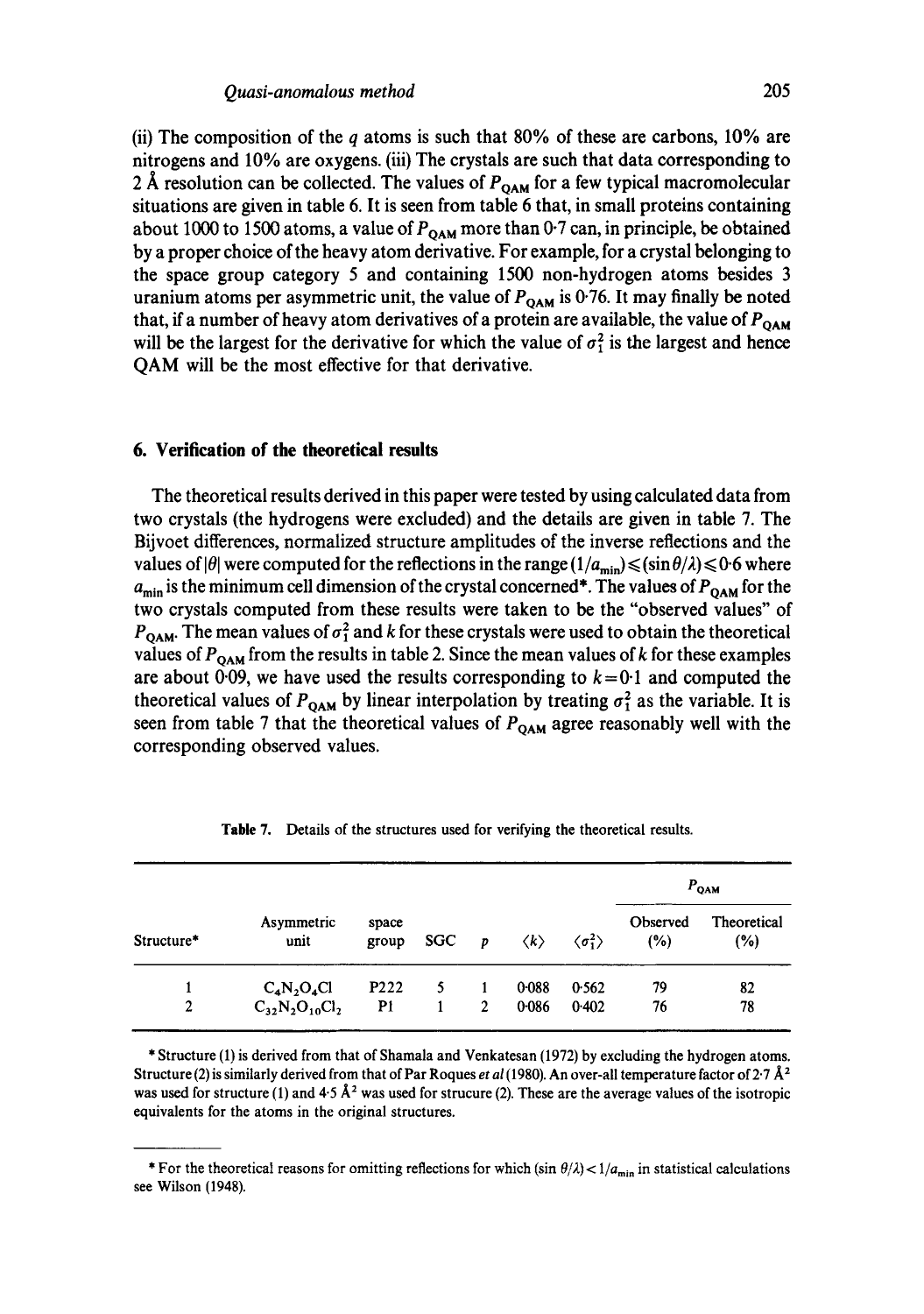(ii) The composition of the q atoms is such that 80% of these are carbons, 10% are nitrogens and 10% are oxygens. (iii) The crystals are such that data corresponding to 2 Å resolution can be collected. The values of  $P_{\text{OAM}}$  for a few typical macromolecular situations are given in table 6. It is seen from table 6 that, in small proteins containing about 1000 to 1500 atoms, a value of  $P_{OAM}$  more than 0.7 can, in principle, be obtained by a proper choice of the heavy atom derivative. For example, for a crystal belonging to the space group category 5 and containing 1500 non-hydrogen atoms besides 3 uranium atoms per asymmetric unit, the value of  $P_{QAM}$  is 0.76. It may finally be noted that, if a number of heavy atom derivatives of a protein are available, the value of  $P_{QAM}$ will be the largest for the derivative for which the value of  $\sigma_1^2$  is the largest and hence QAM will be the most effective for that derivative.

#### **6. Verification of the theoretical results**

The theoretical results derived in this paper were tested by using calculated data from two crystals (the hydrogens were excluded) and the details are given in table 7. The Bijvoet differences, normalized structure amplitudes of the inverse reflections and the values of  $|\theta|$  were computed for the reflections in the range  $(1/a_{\min}) \leq (\sin \theta/\lambda) \leq 0.6$  where  $a_{\text{min}}$  is the minimum cell dimension of the crystal concerned\*. The values of  $P_{\text{OAM}}$  for the two crystals computed from these results were taken to be the "observed values" of  $P_{\text{OAM}}$ . The mean values of  $\sigma_1^2$  and k for these crystals were used to obtain the theoretical values of  $P_{\text{OAM}}$  from the results in table 2. Since the mean values of k for these examples are about 0.09, we have used the results corresponding to  $k=0.1$  and computed the theoretical values of  $P_{\text{OAM}}$  by linear interpolation by treating  $\sigma_1^2$  as the variable. It is seen from table 7 that the theoretical values of  $P_{\text{OAM}}$  agree reasonably well with the corresponding observed values.

|            |                       |                  |     |                |                     |                              |                 | $P_{\rm OAM}$      |
|------------|-----------------------|------------------|-----|----------------|---------------------|------------------------------|-----------------|--------------------|
| Structure* | Asymmetric<br>unit    | space<br>group   | SGC | $\overline{p}$ | $\langle k \rangle$ | $\langle \sigma_1^2 \rangle$ | Observed<br>(%) | Theoretical<br>(%) |
|            | $C_4N_2O_4Cl$         | P <sub>222</sub> | 5.  |                | 0-088               | 0.562                        | 79              | 82                 |
| 2          | $C_{32}N_2O_{10}Cl_2$ | P1               |     | $\overline{2}$ | 0.086               | 0.402                        | 76              | 78                 |

Table 7. Details of the structures used for verifying the theoretical results.

\* Structure (1) is derived from that of Shamala and Venkatesan (1972) by excluding the hydrogen atoms. Structure (2) is similarly derived from that of Par Roques *et al* (1980). An over-all temperature factor of  $2.7 \text{ Å}^2$ was used for structure (1) and  $4.5 \text{ Å}^2$  was used for strucure (2). These are the average values of the isotropic equivalents for the atoms in the original structures.

<sup>\*</sup> For the theoretical reasons for omitting reflections for which (sin  $\theta/\lambda$ ) <  $1/a_{\text{min}}$  in statistical calculations see Wilson (1948).